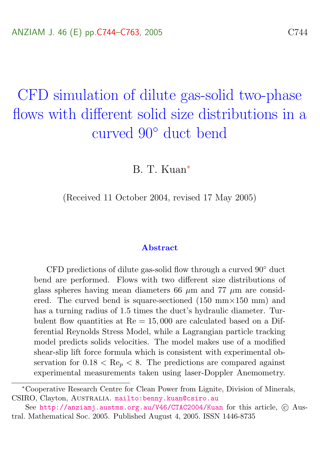# <span id="page-0-0"></span>CFD simulation of dilute gas-solid two-phase flows with different solid size distributions in a curved 90◦ duct bend

B. T. Kuan<sup>∗</sup>

(Received 11 October 2004, revised 17 May 2005)

#### Abstract

CFD predictions of dilute gas-solid flow through a curved 90◦ duct bend are performed. Flows with two different size distributions of glass spheres having mean diameters 66  $\mu$ m and 77  $\mu$ m are considered. The curved bend is square-sectioned  $(150 \text{ mm} \times 150 \text{ mm})$  and has a turning radius of 1.5 times the duct's hydraulic diameter. Turbulent flow quantities at  $Re = 15,000$  are calculated based on a Differential Reynolds Stress Model, while a Lagrangian particle tracking model predicts solids velocities. The model makes use of a modified shear-slip lift force formula which is consistent with experimental observation for  $0.18 < \text{Re}_p < 8$ . The predictions are compared against experimental measurements taken using laser-Doppler Anemometry.

<sup>∗</sup>Cooperative Research Centre for Clean Power from Lignite, Division of Minerals, CSIRO, Clayton, AUSTRALIA. mailto: benny.kuan@csiro.au

See <http://anziamj.austms.org.au/V46/CTAC2004/Kuan> for this article,  $\odot$  Austral. Mathematical Soc. 2005. Published August 4, 2005. ISSN 1446-8735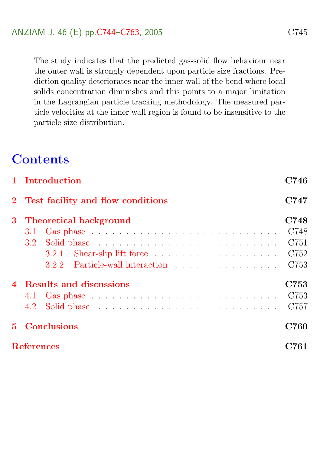The study indicates that the predicted gas-solid flow behaviour near the outer wall is strongly dependent upon particle size fractions. Prediction quality deteriorates near the inner wall of the bend where local solids concentration diminishes and this points to a major limitation in the Lagrangian particle tracking methodology. The measured particle velocities at the inner wall region is found to be insensitive to the particle size distribution.

## **Contents**

<span id="page-1-0"></span>

|             | 1 Introduction                                                                                                                                                                                                                        | C746         |
|-------------|---------------------------------------------------------------------------------------------------------------------------------------------------------------------------------------------------------------------------------------|--------------|
|             | 2 Test facility and flow conditions                                                                                                                                                                                                   | C747         |
| 3           | <b>Theoretical background</b>                                                                                                                                                                                                         | C748<br>C748 |
|             | 3.2<br>Solid phase received a series of the series of the series of the series of the series of the series of the series of the series of the series of the Solid phase of the Solid phase of the Solid phase of the Solid phase of t | C751         |
|             |                                                                                                                                                                                                                                       | C752         |
|             |                                                                                                                                                                                                                                       | C753         |
|             | 4 Results and discussions                                                                                                                                                                                                             | C753         |
|             |                                                                                                                                                                                                                                       | C753         |
|             |                                                                                                                                                                                                                                       | C757         |
| $5^{\circ}$ | <b>Conclusions</b>                                                                                                                                                                                                                    | C760         |
|             | <b>References</b>                                                                                                                                                                                                                     | C761         |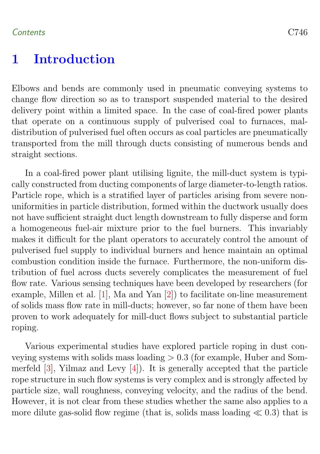## <span id="page-2-0"></span>1 Introduction

Elbows and bends are commonly used in pneumatic conveying systems to change flow direction so as to transport suspended material to the desired delivery point within a limited space. In the case of coal-fired power plants that operate on a continuous supply of pulverised coal to furnaces, maldistribution of pulverised fuel often occurs as coal particles are pneumatically transported from the mill through ducts consisting of numerous bends and straight sections.

In a coal-fired power plant utilising lignite, the mill-duct system is typically constructed from ducting components of large diameter-to-length ratios. Particle rope, which is a stratified layer of particles arising from severe nonuniformities in particle distribution, formed within the ductwork usually does not have sufficient straight duct length downstream to fully disperse and form a homogeneous fuel-air mixture prior to the fuel burners. This invariably makes it difficult for the plant operators to accurately control the amount of pulverised fuel supply to individual burners and hence maintain an optimal combustion condition inside the furnace. Furthermore, the non-uniform distribution of fuel across ducts severely complicates the measurement of fuel flow rate. Various sensing techniques have been developed by researchers (for example, Millen et al. [\[1\]](#page-17-1), Ma and Yan [\[2\]](#page-17-2)) to facilitate on-line measurement of solids mass flow rate in mill-ducts; however, so far none of them have been proven to work adequately for mill-duct flows subject to substantial particle roping.

Various experimental studies have explored particle roping in dust conveying systems with solids mass loading  $> 0.3$  (for example, Huber and Sommerfeld [\[3\]](#page-17-3), Yilmaz and Levy [\[4\]](#page-17-4)). It is generally accepted that the particle rope structure in such flow systems is very complex and is strongly affected by particle size, wall roughness, conveying velocity, and the radius of the bend. However, it is not clear from these studies whether the same also applies to a more dilute gas-solid flow regime (that is, solids mass loading  $\ll 0.3$ ) that is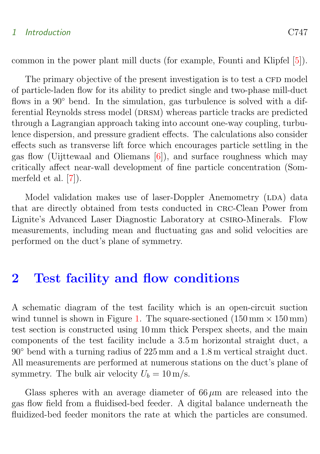#### <span id="page-3-1"></span>1 Introduction C747

common in the power plant mill ducts (for example, Founti and Klipfel [\[5\]](#page-17-5)).

The primary objective of the present investigation is to test a CFD model of particle-laden flow for its ability to predict single and two-phase mill-duct flows in a 90° bend. In the simulation, gas turbulence is solved with a differential Reynolds stress model (DRSM) whereas particle tracks are predicted through a Lagrangian approach taking into account one-way coupling, turbulence dispersion, and pressure gradient effects. The calculations also consider effects such as transverse lift force which encourages particle settling in the gas flow (Uijttewaal and Oliemans [\[6\]](#page-17-6)), and surface roughness which may critically affect near-wall development of fine particle concentration (Sommerfeld et al. [\[7\]](#page-17-7)).

Model validation makes use of laser-Doppler Anemometry (LDA) data that are directly obtained from tests conducted in crc-Clean Power from Lignite's Advanced Laser Diagnostic Laboratory at csiro-Minerals. Flow measurements, including mean and fluctuating gas and solid velocities are performed on the duct's plane of symmetry.

## <span id="page-3-0"></span>2 Test facility and flow conditions

A schematic diagram of the test facility which is an open-circuit suction wind tunnel is shown in Figure [1.](#page-4-2) The square-sectioned  $(150 \text{ mm} \times 150 \text{ mm})$ test section is constructed using 10 mm thick Perspex sheets, and the main components of the test facility include a 3.5 m horizontal straight duct, a 90◦ bend with a turning radius of 225 mm and a 1.8 m vertical straight duct. All measurements are performed at numerous stations on the duct's plane of symmetry. The bulk air velocity  $U_b = 10 \text{ m/s}$ .

Glass spheres with an average diameter of  $66 \mu m$  are released into the gas flow field from a fluidised-bed feeder. A digital balance underneath the fluidized-bed feeder monitors the rate at which the particles are consumed.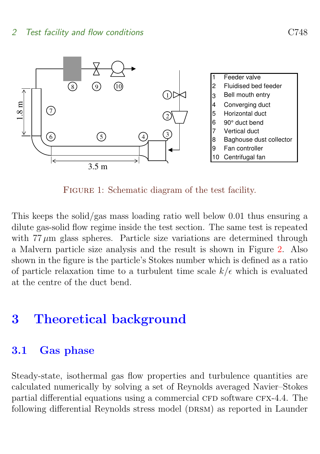

<span id="page-4-2"></span>FIGURE 1: Schematic diagram of the test facility.

This keeps the solid/gas mass loading ratio well below 0.01 thus ensuring a dilute gas-solid flow regime inside the test section. The same test is repeated with  $77 \mu m$  glass spheres. Particle size variations are determined through a Malvern particle size analysis and the result is shown in Figure [2.](#page-5-0) Also shown in the figure is the particle's Stokes number which is defined as a ratio of particle relaxation time to a turbulent time scale  $k/\epsilon$  which is evaluated at the centre of the duct bend.

## <span id="page-4-0"></span>3 Theoretical background

## <span id="page-4-1"></span>3.1 Gas phase

Steady-state, isothermal gas flow properties and turbulence quantities are calculated numerically by solving a set of Reynolds averaged Navier–Stokes partial differential equations using a commercial CFD software CFX-4.4. The following differential Reynolds stress model (DRSM) as reported in Launder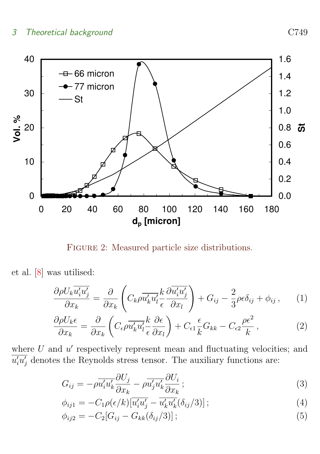<span id="page-5-1"></span>

<span id="page-5-0"></span>FIGURE 2: Measured particle size distributions.

et al. [\[8\]](#page-18-0) was utilised:

$$
\frac{\partial \rho U_k \overline{u'_i u'_j}}{\partial x_k} = \frac{\partial}{\partial x_k} \left( C_k \rho \overline{u'_k u'_l} \frac{k}{\epsilon} \frac{\partial \overline{u'_i u'_j}}{\partial x_l} \right) + G_{ij} - \frac{2}{3} \rho \epsilon \delta_{ij} + \phi_{ij} , \qquad (1)
$$

$$
\frac{\partial \rho U_k \epsilon}{\partial x_k} = \frac{\partial}{\partial x_k} \left( C_\epsilon \rho \overline{u'_k u'_l} \frac{k}{\epsilon} \frac{\partial \epsilon}{\partial x_l} \right) + C_{\epsilon 1} \frac{\epsilon}{k} G_{kk} - C_{\epsilon 2} \frac{\rho \epsilon^2}{k},\tag{2}
$$

where  $U$  and  $u'$  respectively represent mean and fluctuating velocities; and  $\overline{u'_i u'_j}$  denotes the Reynolds stress tensor. The auxiliary functions are:

$$
G_{ij} = -\rho \overline{u_i' u_k'} \frac{\partial U_j}{\partial x_k} - \rho \overline{u_j' u_k'} \frac{\partial U_i}{\partial x_k};
$$
\n(3)

$$
\phi_{ij1} = -C_1 \rho(\epsilon/k) \left[ \overline{u_i' u_j'} - \overline{u_k' u_k'} (\delta_{ij}/3) \right];\tag{4}
$$

$$
\phi_{ij2} = -C_2[G_{ij} - G_{kk}(\delta_{ij}/3)]; \qquad (5)
$$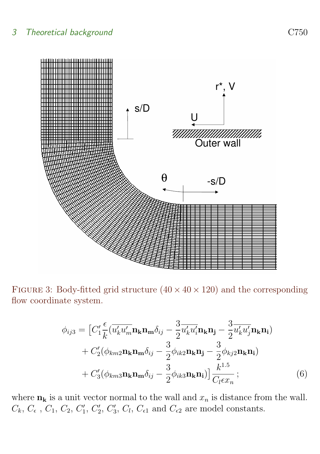

FIGURE 3: Body-fitted grid structure  $(40 \times 40 \times 120)$  and the corresponding flow coordinate system.

<span id="page-6-0"></span>
$$
\phi_{ij3} = \left[ C_1' \frac{\epsilon}{k} (\overline{u'_k u'_m} \mathbf{n_k} \mathbf{n_m} \delta_{ij} - \frac{3}{2} \overline{u'_k u'_i} \mathbf{n_k} \mathbf{n_j} - \frac{3}{2} \overline{u'_k u'_j} \mathbf{n_k} \mathbf{n_i}) + C_2' (\phi_{km2} \mathbf{n_k} \mathbf{n_m} \delta_{ij} - \frac{3}{2} \phi_{ik2} \mathbf{n_k} \mathbf{n_j} - \frac{3}{2} \phi_{kj2} \mathbf{n_k} \mathbf{n_i}) + C_3' (\phi_{km3} \mathbf{n_k} \mathbf{n_m} \delta_{ij} - \frac{3}{2} \phi_{ik3} \mathbf{n_k} \mathbf{n_i}) \right] \frac{k^{1.5}}{C_l \epsilon x_n};
$$
\n(6)

where  $n_k$  is a unit vector normal to the wall and  $x_n$  is distance from the wall.  $C_k$ ,  $C_t$ ,  $C_1$ ,  $C_2$ ,  $C'_1$ ,  $C'_2$ ,  $C'_3$ ,  $C_l$ ,  $C_{\epsilon 1}$  and  $C_{\epsilon 2}$  are model constants.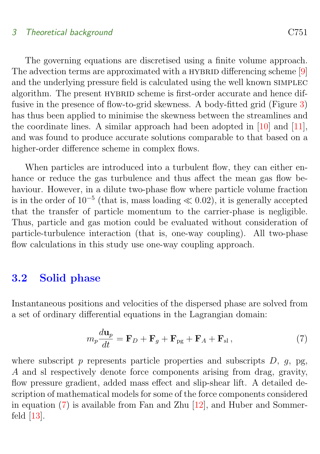<span id="page-7-2"></span>The governing equations are discretised using a finite volume approach. The advection terms are approximated with a HYBRID differencing scheme [\[9\]](#page-18-1) and the underlying pressure field is calculated using the well known simplec algorithm. The present HYBRID scheme is first-order accurate and hence diffusive in the presence of flow-to-grid skewness. A body-fitted grid (Figure [3\)](#page-6-0) has thus been applied to minimise the skewness between the streamlines and the coordinate lines. A similar approach had been adopted in [\[10\]](#page-18-2) and [\[11\]](#page-18-3), and was found to produce accurate solutions comparable to that based on a higher-order difference scheme in complex flows.

When particles are introduced into a turbulent flow, they can either enhance or reduce the gas turbulence and thus affect the mean gas flow behaviour. However, in a dilute two-phase flow where particle volume fraction is in the order of  $10^{-5}$  (that is, mass loading  $\ll 0.02$ ), it is generally accepted that the transfer of particle momentum to the carrier-phase is negligible. Thus, particle and gas motion could be evaluated without consideration of particle-turbulence interaction (that is, one-way coupling). All two-phase flow calculations in this study use one-way coupling approach.

### <span id="page-7-0"></span>3.2 Solid phase

Instantaneous positions and velocities of the dispersed phase are solved from a set of ordinary differential equations in the Lagrangian domain:

<span id="page-7-1"></span>
$$
m_p \frac{d\mathbf{u}_p}{dt} = \mathbf{F}_D + \mathbf{F}_g + \mathbf{F}_{pg} + \mathbf{F}_A + \mathbf{F}_{sl} , \qquad (7)
$$

where subscript  $p$  represents particle properties and subscripts  $D$ ,  $q$ , pg, A and sl respectively denote force components arising from drag, gravity, flow pressure gradient, added mass effect and slip-shear lift. A detailed description of mathematical models for some of the force components considered in equation [\(7\)](#page-7-1) is available from Fan and Zhu [\[12\]](#page-18-4), and Huber and Sommerfeld [\[13\]](#page-18-5).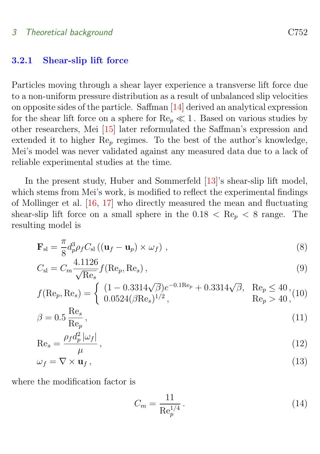#### <span id="page-8-1"></span><span id="page-8-0"></span>3.2.1 Shear-slip lift force

Particles moving through a shear layer experience a transverse lift force due to a non-uniform pressure distribution as a result of unbalanced slip velocities on opposite sides of the particle. Saffman [\[14\]](#page-18-6) derived an analytical expression for the shear lift force on a sphere for  $\text{Re}_{p} \ll 1$ . Based on various studies by other researchers, Mei [\[15\]](#page-18-7) later reformulated the Saffman's expression and extended it to higher  $\text{Re}_p$  regimes. To the best of the author's knowledge, Mei's model was never validated against any measured data due to a lack of reliable experimental studies at the time.

In the present study, Huber and Sommerfeld [\[13\]](#page-18-5)'s shear-slip lift model, which stems from Mei's work, is modified to reflect the experimental findings of Mollinger et al. [\[16,](#page-19-0) [17\]](#page-19-1) who directly measured the mean and fluctuating shear-slip lift force on a small sphere in the  $0.18 < Re_p < 8$  range. The resulting model is

$$
\mathbf{F}_{\rm sl} = \frac{\pi}{8} d_p^3 \rho_f C_{\rm sl} \left( (\mathbf{u}_f - \mathbf{u}_p) \times \omega_f \right) , \qquad (8)
$$

$$
C_{\rm sl} = C_m \frac{4.1126}{\sqrt{\text{Re}_s}} f(\text{Re}_p, \text{Re}_s),
$$
\n(9)

$$
f(\text{Re}_p, \text{Re}_s) = \begin{cases} (1 - 0.3314\sqrt{\beta})e^{-0.1\text{Re}_p} + 0.3314\sqrt{\beta}, & \text{Re}_p \le 40, \\ 0.0524(\beta \text{Re}_s)^{1/2}, & \text{Re}_p > 40, \end{cases}
$$

$$
\beta = 0.5 \frac{\text{Re}_s}{\text{Re}_p},\tag{11}
$$

$$
\text{Re}_s = \frac{\rho_f d_p^2 |\omega_f|}{\mu},\tag{12}
$$

$$
\omega_f = \nabla \times \mathbf{u}_f,\tag{13}
$$

where the modification factor is

$$
C_m = \frac{11}{\text{Re}_p^{1/4}}.
$$
\n(14)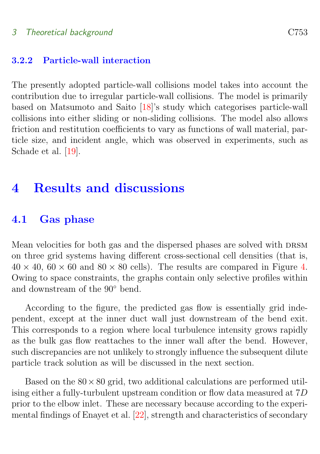#### <span id="page-9-3"></span><span id="page-9-0"></span>3.2.2 Particle-wall interaction

The presently adopted particle-wall collisions model takes into account the contribution due to irregular particle-wall collisions. The model is primarily based on Matsumoto and Saito [\[18\]](#page-19-2)'s study which categorises particle-wall collisions into either sliding or non-sliding collisions. The model also allows friction and restitution coefficients to vary as functions of wall material, particle size, and incident angle, which was observed in experiments, such as Schade et al. [\[19\]](#page-19-3).

## <span id="page-9-1"></span>4 Results and discussions

#### <span id="page-9-2"></span>4.1 Gas phase

Mean velocities for both gas and the dispersed phases are solved with DRSM on three grid systems having different cross-sectional cell densities (that is,  $40 \times 40$ ,  $60 \times 60$  and  $80 \times 80$  cells). The results are compared in Figure [4.](#page-10-0) Owing to space constraints, the graphs contain only selective profiles within and downstream of the 90◦ bend.

According to the figure, the predicted gas flow is essentially grid independent, except at the inner duct wall just downstream of the bend exit. This corresponds to a region where local turbulence intensity grows rapidly as the bulk gas flow reattaches to the inner wall after the bend. However, such discrepancies are not unlikely to strongly influence the subsequent dilute particle track solution as will be discussed in the next section.

Based on the  $80 \times 80$  grid, two additional calculations are performed utilising either a fully-turbulent upstream condition or flow data measured at 7D prior to the elbow inlet. These are necessary because according to the experimental findings of Enayet et al. [\[22\]](#page-19-4), strength and characteristics of secondary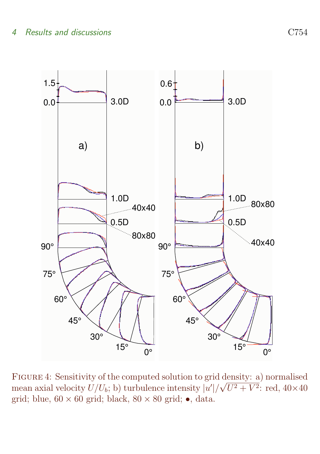

<span id="page-10-0"></span>FIGURE 4: Sensitivity of the computed solution to grid density: a) normalised mean axial velocity  $U/U_b$ ; b) turbulence intensity  $|u'|/\sqrt{U^2+V^2}$ : red,  $40\times40$ grid; blue,  $60 \times 60$  grid; black,  $80 \times 80$  grid;  $\bullet$ , data.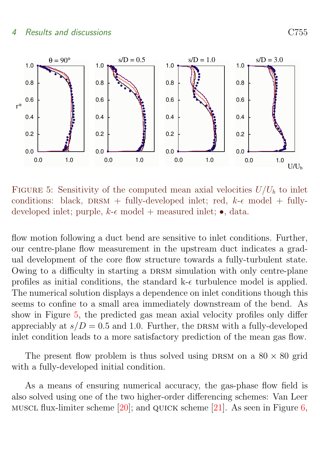<span id="page-11-1"></span>

<span id="page-11-0"></span>FIGURE 5: Sensitivity of the computed mean axial velocities  $U/U_b$  to inlet conditions: black, DRSM + fully-developed inlet; red,  $k-\epsilon$  model + fullydeveloped inlet; purple,  $k$ - $\epsilon$  model + measured inlet;  $\bullet$ , data.

flow motion following a duct bend are sensitive to inlet conditions. Further, our centre-plane flow measurement in the upstream duct indicates a gradual development of the core flow structure towards a fully-turbulent state. Owing to a difficulty in starting a DRSM simulation with only centre-plane profiles as initial conditions, the standard  $k-\epsilon$  turbulence model is applied. The numerical solution displays a dependence on inlet conditions though this seems to confine to a small area immediately downstream of the bend. As show in Figure [5,](#page-11-0) the predicted gas mean axial velocity profiles only differ appreciably at  $s/D = 0.5$  and 1.0. Further, the DRSM with a fully-developed inlet condition leads to a more satisfactory prediction of the mean gas flow.

The present flow problem is thus solved using DRSM on a  $80 \times 80$  grid with a fully-developed initial condition.

As a means of ensuring numerical accuracy, the gas-phase flow field is also solved using one of the two higher-order differencing schemes: Van Leer MUSCL flux-limiter scheme  $[20]$ ; and QUICK scheme  $[21]$ . As seen in Figure [6,](#page-12-0)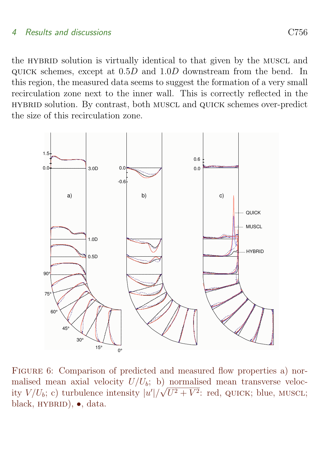the HYBRID solution is virtually identical to that given by the MUSCL and quick schemes, except at 0.5D and 1.0D downstream from the bend. In this region, the measured data seems to suggest the formation of a very small recirculation zone next to the inner wall. This is correctly reflected in the hybrid solution. By contrast, both muscl and quick schemes over-predict the size of this recirculation zone.



<span id="page-12-0"></span>FIGURE 6: Comparison of predicted and measured flow properties a) normalised mean axial velocity  $U/U_b$ ; b) normalised mean transverse velocity  $V/U_b$ ; c) turbulence intensity  $|u'|/\sqrt{U^2+V^2}$ : red, QUICK; blue, MUSCL; black, HYBRID), •, data.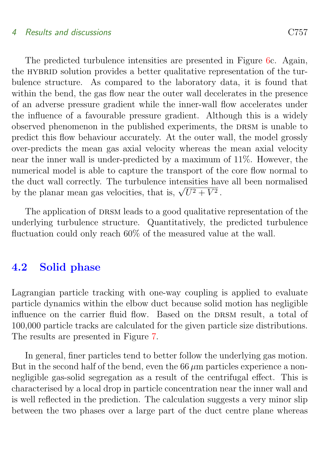The predicted turbulence intensities are presented in Figure [6c](#page-12-0). Again, the HYBRID solution provides a better qualitative representation of the turbulence structure. As compared to the laboratory data, it is found that within the bend, the gas flow near the outer wall decelerates in the presence of an adverse pressure gradient while the inner-wall flow accelerates under the influence of a favourable pressure gradient. Although this is a widely observed phenomenon in the published experiments, the DRSM is unable to predict this flow behaviour accurately. At the outer wall, the model grossly over-predicts the mean gas axial velocity whereas the mean axial velocity near the inner wall is under-predicted by a maximum of 11%. However, the numerical model is able to capture the transport of the core flow normal to the duct wall correctly. The turbulence intensities have all been normalised the quet wan correctly. The turbulence intensities has<br>by the planar mean gas velocities, that is,  $\sqrt{U^2 + V^2}$ .

The application of DRSM leads to a good qualitative representation of the underlying turbulence structure. Quantitatively, the predicted turbulence fluctuation could only reach 60% of the measured value at the wall.

### <span id="page-13-0"></span>4.2 Solid phase

Lagrangian particle tracking with one-way coupling is applied to evaluate particle dynamics within the elbow duct because solid motion has negligible influence on the carrier fluid flow. Based on the DRSM result, a total of 100,000 particle tracks are calculated for the given particle size distributions. The results are presented in Figure [7.](#page-14-0)

In general, finer particles tend to better follow the underlying gas motion. But in the second half of the bend, even the  $66 \mu m$  particles experience a nonnegligible gas-solid segregation as a result of the centrifugal effect. This is characterised by a local drop in particle concentration near the inner wall and is well reflected in the prediction. The calculation suggests a very minor slip between the two phases over a large part of the duct centre plane whereas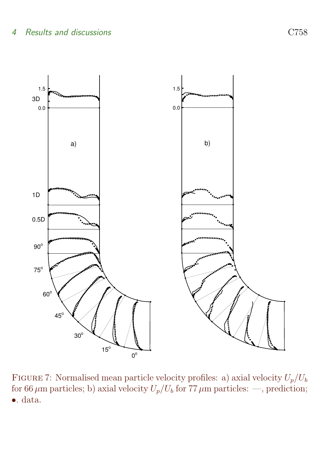

<span id="page-14-0"></span>FIGURE 7: Normalised mean particle velocity profiles: a) axial velocity  $U_p/U_b$ for 66  $\mu$ m particles; b) axial velocity  $U_p/U_b$  for 77  $\mu$ m particles: —, prediction; •. data.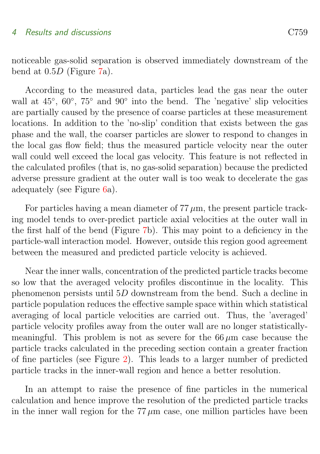noticeable gas-solid separation is observed immediately downstream of the bend at 0.5D (Figure [7a](#page-14-0)).

According to the measured data, particles lead the gas near the outer wall at  $45^{\circ}$ ,  $60^{\circ}$ ,  $75^{\circ}$  and  $90^{\circ}$  into the bend. The 'negative' slip velocities are partially caused by the presence of coarse particles at these measurement locations. In addition to the 'no-slip' condition that exists between the gas phase and the wall, the coarser particles are slower to respond to changes in the local gas flow field; thus the measured particle velocity near the outer wall could well exceed the local gas velocity. This feature is not reflected in the calculated profiles (that is, no gas-solid separation) because the predicted adverse pressure gradient at the outer wall is too weak to decelerate the gas adequately (see Figure [6a](#page-12-0)).

For particles having a mean diameter of  $77 \mu m$ , the present particle tracking model tends to over-predict particle axial velocities at the outer wall in the first half of the bend (Figure [7b](#page-14-0)). This may point to a deficiency in the particle-wall interaction model. However, outside this region good agreement between the measured and predicted particle velocity is achieved.

Near the inner walls, concentration of the predicted particle tracks become so low that the averaged velocity profiles discontinue in the locality. This phenomenon persists until 5D downstream from the bend. Such a decline in particle population reduces the effective sample space within which statistical averaging of local particle velocities are carried out. Thus, the 'averaged' particle velocity profiles away from the outer wall are no longer statisticallymeaningful. This problem is not as severe for the  $66 \mu m$  case because the particle tracks calculated in the preceding section contain a greater fraction of fine particles (see Figure [2\)](#page-5-0). This leads to a larger number of predicted particle tracks in the inner-wall region and hence a better resolution.

In an attempt to raise the presence of fine particles in the numerical calculation and hence improve the resolution of the predicted particle tracks in the inner wall region for the  $77 \mu m$  case, one million particles have been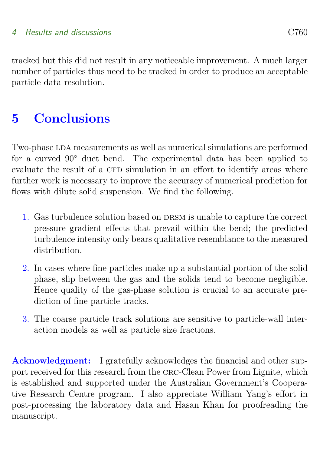tracked but this did not result in any noticeable improvement. A much larger number of particles thus need to be tracked in order to produce an acceptable particle data resolution.

## <span id="page-16-0"></span>5 Conclusions

Two-phase LDA measurements as well as numerical simulations are performed for a curved 90° duct bend. The experimental data has been applied to evaluate the result of a CFD simulation in an effort to identify areas where further work is necessary to improve the accuracy of numerical prediction for flows with dilute solid suspension. We find the following.

- 1. Gas turbulence solution based on DRSM is unable to capture the correct pressure gradient effects that prevail within the bend; the predicted turbulence intensity only bears qualitative resemblance to the measured distribution.
- 2. In cases where fine particles make up a substantial portion of the solid phase, slip between the gas and the solids tend to become negligible. Hence quality of the gas-phase solution is crucial to an accurate prediction of fine particle tracks.
- 3. The coarse particle track solutions are sensitive to particle-wall interaction models as well as particle size fractions.

Acknowledgment: I gratefully acknowledges the financial and other support received for this research from the crc-Clean Power from Lignite, which is established and supported under the Australian Government's Cooperative Research Centre program. I also appreciate William Yang's effort in post-processing the laboratory data and Hasan Khan for proofreading the manuscript.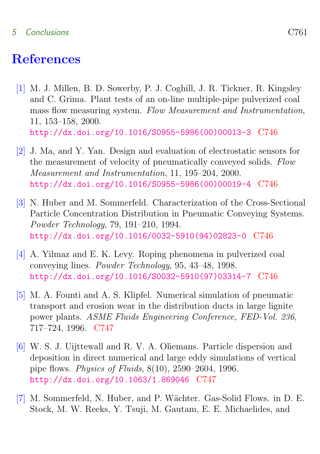#### 5 Conclusions C761

## **References**

- <span id="page-17-1"></span><span id="page-17-0"></span>[1] M. J. Millen, B. D. Sowerby, P. J. Coghill, J. R. Tickner, R. Kingsley and C. Grima. Plant tests of an on-line multiple-pipe pulverized coal mass flow measuring system. Flow Measurement and Instrumentation, 11, 153–158, 2000. [http://dx.doi.org/10.1016/S0955-5986\(00\)00013-3](http://dx.doi.org/10.1016/S0955-5986(00)00013-3) [C746](#page-2-0)
- <span id="page-17-2"></span>[2] J. Ma, and Y. Yan. Design and evaluation of electrostatic sensors for the measurement of velocity of pneumatically conveyed solids. Flow Measurement and Instrumentation, 11, 195–204, 2000. [http://dx.doi.org/10.1016/S0955-5986\(00\)00019-4](http://dx.doi.org/10.1016/S0955-5986(00)00019-4) [C746](#page-2-0)
- <span id="page-17-3"></span>[3] N. Huber and M. Sommerfeld. Characterization of the Cross-Sectional Particle Concentration Distribution in Pneumatic Conveying Systems. Powder Technology, 79, 191–210, 1994. [http://dx.doi.org/10.1016/0032-5910\(94\)02823-0](http://dx.doi.org/10.1016/0032-5910(94)02823-0) [C746](#page-2-0)
- <span id="page-17-4"></span>[4] A. Yilmaz and E. K. Levy. Roping phenomena in pulverized coal conveying lines. Powder Technology, 95, 43–48, 1998. [http://dx.doi.org/10.1016/S0032-5910\(97\)03314-7](http://dx.doi.org/10.1016/S0032-5910(97)03314-7) [C746](#page-2-0)
- <span id="page-17-5"></span>[5] M. A. Founti and A. S. Klipfel. Numerical simulation of pneumatic transport and erosion wear in the distribution ducts in large lignite power plants. ASME Fluids Engineering Conference, FED-Vol. 236, 717–724, 1996. [C747](#page-3-1)
- <span id="page-17-6"></span>[6] W. S. J. Uijttewall and R. V. A. Oliemans. Particle dispersion and deposition in direct numerical and large eddy simulations of vertical pipe flows. Physics of Fluids, 8(10), 2590–2604, 1996. <http://dx.doi.org/10.1063/1.869046> [C747](#page-3-1)
- <span id="page-17-7"></span>[7] M. Sommerfeld, N. Huber, and P. Wächter. Gas-Solid Flows. in D. E. Stock, M. W. Reeks, Y. Tsuji, M. Gautam, E. E. Michaelides, and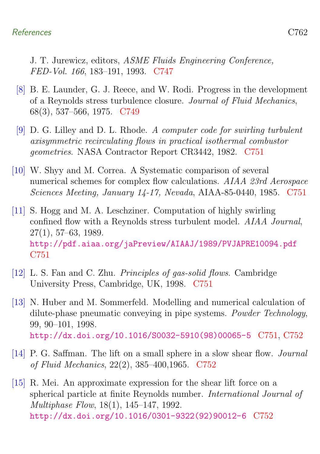J. T. Jurewicz, editors, ASME Fluids Engineering Conference, FED-Vol. 166, 183–191, 1993. [C747](#page-3-1)

- <span id="page-18-0"></span>[8] B. E. Launder, G. J. Reece, and W. Rodi. Progress in the development of a Reynolds stress turbulence closure. Journal of Fluid Mechanics, 68(3), 537–566, 1975. [C749](#page-5-1)
- <span id="page-18-1"></span>[9] D. G. Lilley and D. L. Rhode. A computer code for swirling turbulent axisymmetric recirculating flows in practical isothermal combustor geometries. NASA Contractor Report CR3442, 1982. [C751](#page-7-2)
- <span id="page-18-2"></span>[10] W. Shyy and M. Correa. A Systematic comparison of several numerical schemes for complex flow calculations. AIAA 23rd Aerospace Sciences Meeting, January 14-17, Nevada, AIAA-85-0440, 1985. [C751](#page-7-2)
- <span id="page-18-3"></span>[11] S. Hogg and M. A. Leschziner. Computation of highly swirling confined flow with a Reynolds stress turbulent model. AIAA Journal, 27(1), 57–63, 1989. <http://pdf.aiaa.org/jaPreview/AIAAJ/1989/PVJAPRE10094.pdf> [C751](#page-7-2)
- <span id="page-18-4"></span>[12] L. S. Fan and C. Zhu. Principles of gas-solid flows. Cambridge University Press, Cambridge, UK, 1998. [C751](#page-7-2)
- <span id="page-18-5"></span>[13] N. Huber and M. Sommerfeld. Modelling and numerical calculation of dilute-phase pneumatic conveying in pipe systems. Powder Technology, 99, 90–101, 1998. [http://dx.doi.org/10.1016/S0032-5910\(98\)00065-5](http://dx.doi.org/10.1016/S0032-5910(98)00065-5) [C751,](#page-7-2) [C752](#page-8-1)
- <span id="page-18-6"></span>[14] P. G. Saffman. The lift on a small sphere in a slow shear flow. Journal of Fluid Mechanics, 22(2), 385–400,1965. [C752](#page-8-1)
- <span id="page-18-7"></span>[15] R. Mei. An approximate expression for the shear lift force on a spherical particle at finite Reynolds number. International Journal of Multiphase Flow, 18(1), 145–147, 1992. [http://dx.doi.org/10.1016/0301-9322\(92\)90012-6](http://dx.doi.org/10.1016/0301-9322(92)90012-6) [C752](#page-8-1)